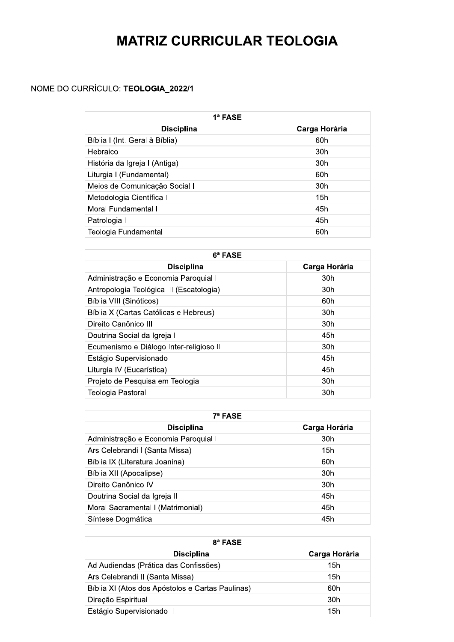## MAIRIZ CURRICULAR TEOLOGIA

## NOME DO CURRICULO: **TEOLOGIA\_2022/1**

| 1ª FASE                        |               |
|--------------------------------|---------------|
| <b>Disciplina</b>              | Carga Horária |
| Bíblia I (Int. Geral à Bíblia) | 60h           |
| Hebraico                       | 30h           |
| História da Igreja I (Antiga)  | 30h           |
| Liturgia I (Fundamental)       | 60h           |
| Meios de Comunicação Social I  | 30h           |
| Metodologia Científica I       | 15h           |
| Moral Fundamental I            | 45h           |
| Patrologia I                   | 45h           |
| Teologia Fundamental           | 60h           |

| Metodologia Científica I                 | 15h           |  |
|------------------------------------------|---------------|--|
| Moral Fundamental I                      | 45h           |  |
| Patrologia I                             | 45h           |  |
| Teologia Fundamental                     | 60h           |  |
|                                          |               |  |
| 6ª FASE                                  |               |  |
| <b>Disciplina</b>                        | Carga Horária |  |
| Administração e Economia Paroquial I     | 30h           |  |
| Antropologia Teológica III (Escatologia) | 30h           |  |
| Bíblia VIII (Sinóticos)                  | 60h           |  |
| Bíblia X (Cartas Católicas e Hebreus)    | 30h           |  |
| Direito Canônico III                     | 30h           |  |
| Doutrina Social da Igreja I              | 45h           |  |
| Ecumenismo e Diálogo Inter-religioso II  | 30h           |  |
| Estágio Supervisionado I                 | 45h           |  |
| Liturgia IV (Eucarística)                | 45h           |  |
| Projeto de Pesquisa em Teologia          | 30h           |  |
| Teologia Pastoral                        | 30h           |  |

| Estágio Supervisionado I              | 45h           |
|---------------------------------------|---------------|
| Liturgia IV (Eucarística)             | 45h           |
| Projeto de Pesquisa em Teologia       | 30h           |
| <b>Teologia Pastoral</b>              | 30h           |
|                                       |               |
| 7ª FASE                               |               |
| <b>Disciplina</b>                     | Carga Horária |
| Administração e Economia Paroquial II | 30h           |
| Ars Celebrandi I (Santa Missa)        | 15h           |
| Bíblia IX (Literatura Joanina)        | 60h           |
| Bíblia XII (Apocalipse)               | 30h           |
| Direito Canônico IV                   | 30h           |
| Doutrina Social da Igreja II          | 45h           |
| Moral Sacramental I (Matrimonial)     | 45h           |
| Síntese Dogmática                     | 45h           |

| Direito Canônico IV                              | 30h           |
|--------------------------------------------------|---------------|
| Doutrina Social da Igreja II                     | 45h           |
| Moral Sacramental I (Matrimonial)                | 45h           |
| Síntese Dogmática                                | 45h           |
|                                                  |               |
| 8ª FASE                                          |               |
| <b>Disciplina</b>                                | Carga Horária |
| Ad Audiendas (Prática das Confissões)            | 15h           |
| Ars Celebrandi II (Santa Missa)                  | 15h           |
| Bíblia XI (Atos dos Apóstolos e Cartas Paulinas) | 60h           |
| Direção Espiritual                               | 30h           |
|                                                  |               |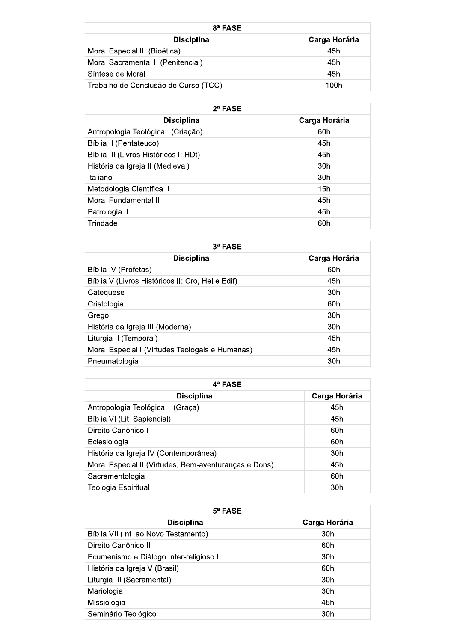| 8ª FASE                              |               |
|--------------------------------------|---------------|
| <b>Disciplina</b>                    | Carga Horária |
| Moral Especial III (Bioética)        | 45h           |
| Moral Sacramental II (Penitencial)   | 45h           |
| Síntese de Moral                     | 45h           |
| Trabalho de Conclusão de Curso (TCC) | 100h          |

| $2^a$ FASE                            |                 |  |
|---------------------------------------|-----------------|--|
| <b>Disciplina</b>                     | Carga Horária   |  |
| Antropologia Teológica I (Criação)    | 60h             |  |
| Bíblia II (Pentateuco)                | 45h             |  |
| Bíblia III (Livros Históricos I: HDt) | 45h             |  |
| História da Igreja II (Medieval)      | 30 <sub>h</sub> |  |
| Italiano                              | 30h             |  |
| Metodologia Científica II             | 15h             |  |
| Moral Fundamental II                  | 45h             |  |
| Patrologia II                         | 45h             |  |
| Trindade                              | 60h             |  |

| $3a$ FASE                                        |                 |
|--------------------------------------------------|-----------------|
| <b>Disciplina</b>                                | Carga Horária   |
| Bíblia IV (Profetas)                             | 60h             |
| Bíblia V (Livros Históricos II: Cro, Hel e Edif) | 45h             |
| Catequese                                        | 30h             |
| Cristologia I                                    | 60h             |
| Grego                                            | 30 <sub>h</sub> |
| História da Igreja III (Moderna)                 | 30 <sub>h</sub> |
| Liturgia II (Temporal)                           | 45h             |
| Moral Especial I (Virtudes Teologais e Humanas)  | 45h             |
| Pneumatologia                                    | 30h             |

| 4ª FASE                                               |               |
|-------------------------------------------------------|---------------|
| <b>Disciplina</b>                                     | Carga Horária |
| Antropologia Teológica II (Graça)                     | 45h           |
| Bíblia VI (Lit. Sapiencial)                           | 45h           |
| Direito Canônico I                                    | 60h           |
| Eclesiologia                                          | 60h           |
| História da Igreja IV (Contemporânea)                 | 30h           |
| Moral Especial II (Virtudes, Bem-aventuranças e Dons) | 45h           |
| Sacramentologia                                       | 60h           |
| Teologia Espiritual                                   | 30h           |

| $5^a$ FASE                             |               |
|----------------------------------------|---------------|
| <b>Disciplina</b>                      | Carga Horária |
| Bíblia VII (Int. ao Novo Testamento)   | 30h           |
| Direito Canônico II                    | 60h           |
| Ecumenismo e Diálogo Inter-religioso I | 30h           |
| História da Igreja V (Brasil)          | 60h           |
| Liturgia III (Sacramental)             | 30h           |
| Mariologia                             | 30h           |
| Missiologia                            | 45h           |
| Seminário Teológico                    | 30h           |